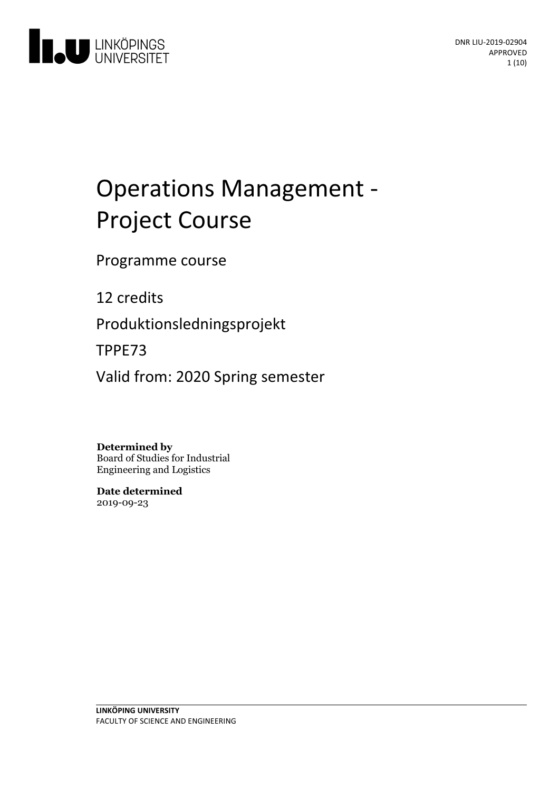

# Operations Management - Project Course

Programme course

12 credits

Produktionsledningsprojekt

TPPE73

Valid from: 2020 Spring semester

**Determined by**

Board of Studies for Industrial Engineering and Logistics

**Date determined** 2019-09-23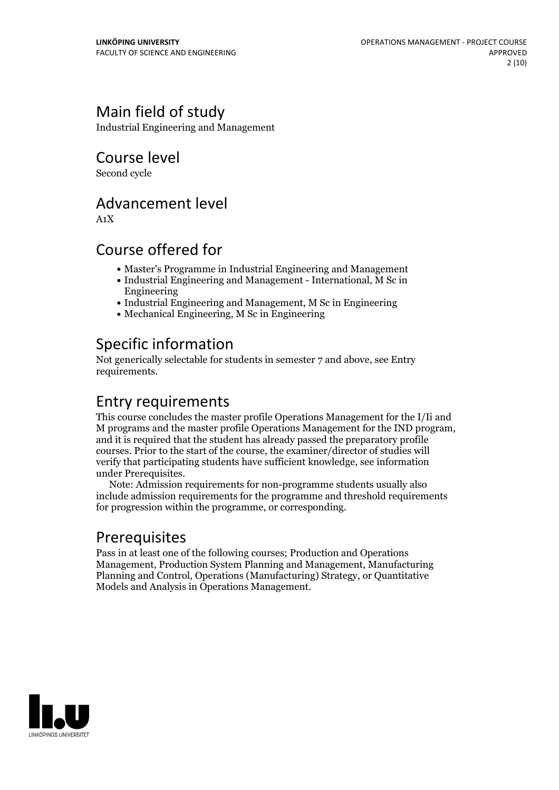# Main field of study

Industrial Engineering and Management

Course level

Second cycle

## Advancement level

A1X

## Course offered for

- Master's Programme in Industrial Engineering and Management
- Industrial Engineering and Management International, M Sc in Engineering
- Industrial Engineering and Management, M Sc in Engineering
- Mechanical Engineering, M Sc in Engineering

# Specific information

Not generically selectable for students in semester 7 and above, see Entry requirements.

## Entry requirements

This course concludes the master profile Operations Management for the I/Ii and <sup>M</sup> programs and the master profile Operations Management for the IND program, and it is required that the student has already passed the preparatory profile courses. Prior to the start of the course, the examiner/director of studies will verify that participating students have sufficient knowledge, see information under Prerequisites. Note: Admission requirements for non-programme students usually also

include admission requirements for the programme and threshold requirements for progression within the programme, or corresponding.

# Prerequisites

Pass in at least one of the following courses; Production and Operations Management, Production System Planning and Management, Manufacturing Planning and Control, Operations (Manufacturing) Strategy, or Quantitative Models and Analysis in Operations Management.

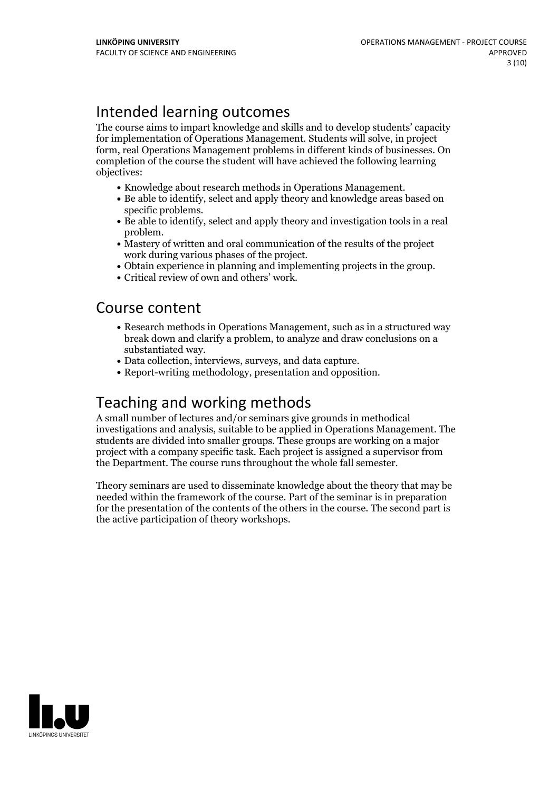# Intended learning outcomes

The course aims to impart knowledge and skills and to develop students' capacity for implementation of Operations Management. Students will solve, in project form, real Operations Management problems in different kinds of businesses. On completion of the course the student will have achieved the following learning objectives:

- 
- Knowledge about research methods in Operations Management.<br>• Be able to identify, select and apply theory and knowledge areas based on
- specific problems.<br>• Be able to identify, select and apply theory and investigation tools in a real problem.
- $\bullet$  Mastery of written and oral communication of the results of the project
- work during various phases of the project.<br>• Obtain experience in planning and implementing projects in the group.<br>• Critical review of own and others' work.
- 

#### Course content

- Research methods in Operations Management, such as in a structured way break down and clarify a problem, to analyze and draw conclusions on a
- substantiated way.<br>
Data collection, interviews, surveys, and data capture.<br>
Report-writing methodology, presentation and opposition.
- 

## Teaching and working methods

A small number of lectures and/or seminars give grounds in methodical investigations and analysis, suitable to be applied in Operations Management. The students are divided into smaller groups. These groups are working on a major project with a company specific task. Each project is assigned a supervisor from the Department. The course runs throughout the whole fall semester.

Theory seminars are used to disseminate knowledge about the theory that may be needed within the framework of the course. Part of the seminar is in preparation for the presentation of the contents of the others in the course. The second part is the active participation of theory workshops.

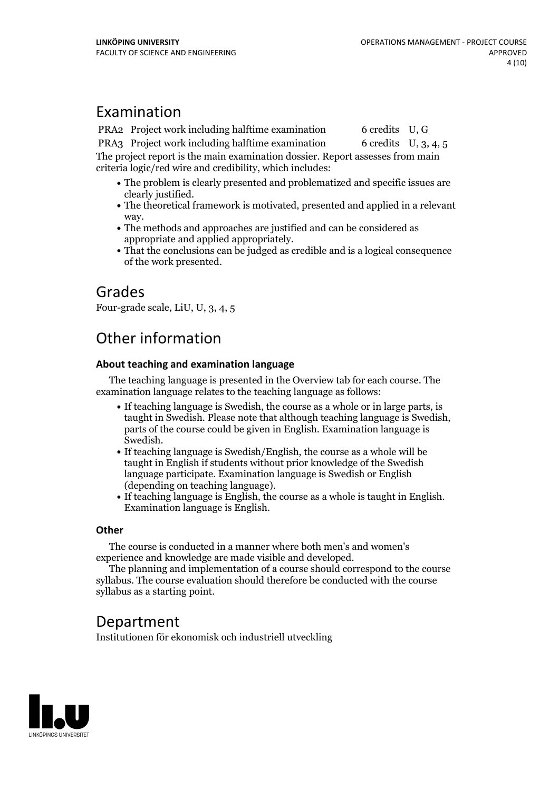### Examination

PRA2 Project work including halftime examination 6 credits U, G

PRA3 Project work including halftime examination 6 credits U, 3, 4, 5 The project report is the main examination dossier. Report assesses from main criteria logic/red wire and credibility, which includes:

- The problem is clearly presented and problematized and specific issues are
- clearly justified. The theoretical framework is motivated, presented and applied in <sup>a</sup> relevant
- way.<br>• The methods and approaches are justified and can be considered as
- appropriate and applied appropriately. That the conclusions can be judged as credible and is <sup>a</sup> logical consequence of the work presented.

## Grades

Four-grade scale, LiU, U, 3, 4, 5

# Other information

#### **About teaching and examination language**

The teaching language is presented in the Overview tab for each course. The examination language relates to the teaching language as follows:

- If teaching language is Swedish, the course as a whole or in large parts, is taught in Swedish. Please note that although teaching language is Swedish, parts of the course could be given in English. Examination language is
- Swedish.<br>• If teaching language is Swedish/English, the course as a whole will be taught in English if students without prior knowledge of the Swedish language participate. Examination language is Swedish or English
- (depending on teaching language).<br>• If teaching language is English, the course as a whole is taught in English.<br>Examination language is English.

#### **Other**

The course is conducted in a manner where both men's and women's

experience and knowledge are made visible and developed. The planning and implementation of <sup>a</sup> course should correspond to the course syllabus. The course evaluation should therefore be conducted with the course syllabus as a starting point.

## Department

Institutionen för ekonomisk och industriell utveckling

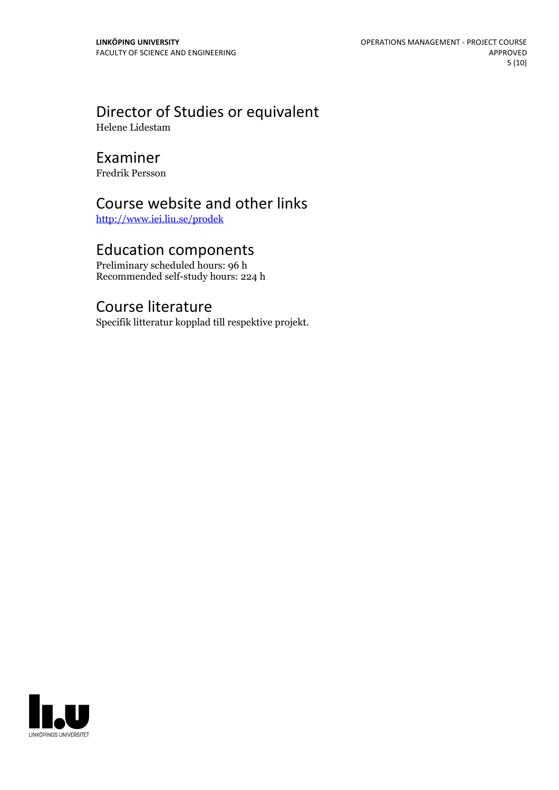# Director of Studies or equivalent

Helene Lidestam

# Examiner

Fredrik Persson

# Course website and other links

<http://www.iei.liu.se/prodek>

## Education components

Preliminary scheduled hours: 96 h Recommended self-study hours: 224 h

## Course literature

Specifik litteratur kopplad till respektive projekt.

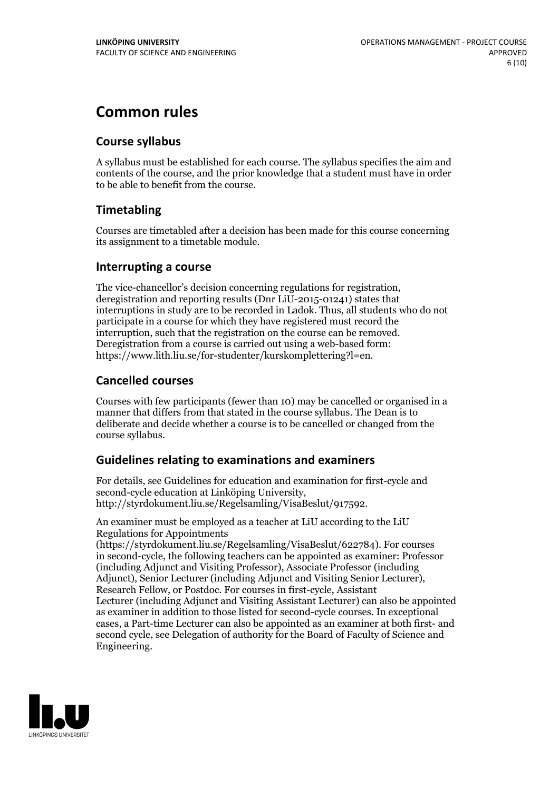# **Common rules**

#### **Course syllabus**

A syllabus must be established for each course. The syllabus specifies the aim and contents of the course, and the prior knowledge that a student must have in order to be able to benefit from the course.

#### **Timetabling**

Courses are timetabled after a decision has been made for this course concerning its assignment to a timetable module.

#### **Interrupting a course**

The vice-chancellor's decision concerning regulations for registration, deregistration and reporting results (Dnr LiU-2015-01241) states that interruptions in study are to be recorded in Ladok. Thus, all students who do not participate in a course for which they have registered must record the interruption, such that the registration on the course can be removed. Deregistration from <sup>a</sup> course is carried outusing <sup>a</sup> web-based form: https://www.lith.liu.se/for-studenter/kurskomplettering?l=en.

#### **Cancelled courses**

Courses with few participants (fewer than 10) may be cancelled or organised in a manner that differs from that stated in the course syllabus. The Dean is to deliberate and decide whether a course is to be cancelled or changed from the course syllabus.

#### **Guidelines relatingto examinations and examiners**

For details, see Guidelines for education and examination for first-cycle and second-cycle education at Linköping University, http://styrdokument.liu.se/Regelsamling/VisaBeslut/917592.

An examiner must be employed as a teacher at LiU according to the LiU Regulations for Appointments

(https://styrdokument.liu.se/Regelsamling/VisaBeslut/622784). For courses in second-cycle, the following teachers can be appointed as examiner: Professor (including Adjunct and Visiting Professor), Associate Professor (including Adjunct), Senior Lecturer (including Adjunct and Visiting Senior Lecturer), Research Fellow, or Postdoc. For courses in first-cycle, Assistant Lecturer (including Adjunct and Visiting Assistant Lecturer) can also be appointed as examiner in addition to those listed for second-cycle courses. In exceptional cases, a Part-time Lecturer can also be appointed as an examiner at both first- and second cycle, see Delegation of authority for the Board of Faculty of Science and Engineering.

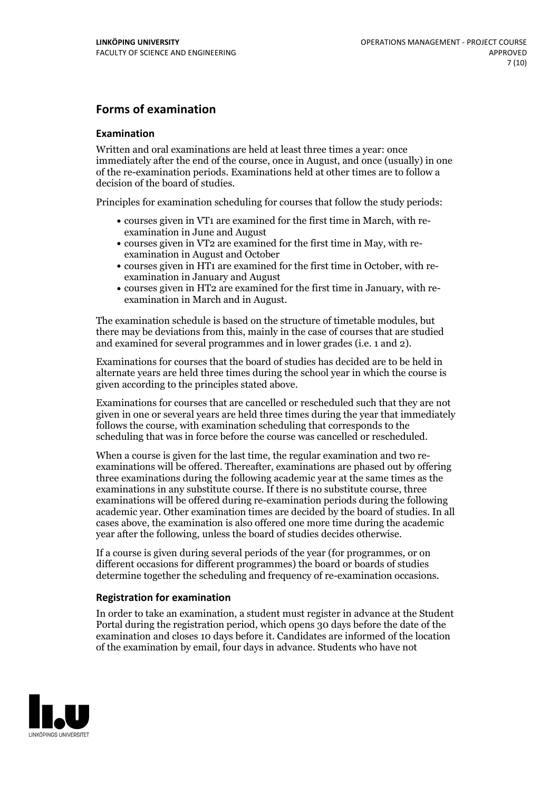#### **Forms of examination**

#### **Examination**

Written and oral examinations are held at least three times a year: once immediately after the end of the course, once in August, and once (usually) in one of the re-examination periods. Examinations held at other times are to follow a decision of the board of studies.

Principles for examination scheduling for courses that follow the study periods:

- courses given in VT1 are examined for the first time in March, with re-examination in June and August
- courses given in VT2 are examined for the first time in May, with re-examination in August and October
- courses given in HT1 are examined for the first time in October, with re-examination in January and August
- courses given in HT2 are examined for the first time in January, with re-examination in March and in August.

The examination schedule is based on the structure of timetable modules, but there may be deviations from this, mainly in the case of courses that are studied and examined for several programmes and in lower grades (i.e. 1 and 2).

Examinations for courses that the board of studies has decided are to be held in alternate years are held three times during the school year in which the course is given according to the principles stated above.

Examinations for courses that are cancelled orrescheduled such that they are not given in one or several years are held three times during the year that immediately follows the course, with examination scheduling that corresponds to the scheduling that was in force before the course was cancelled or rescheduled.

When a course is given for the last time, the regular examination and two re-<br>examinations will be offered. Thereafter, examinations are phased out by offering three examinations during the following academic year at the same times as the examinations in any substitute course. If there is no substitute course, three examinations will be offered during re-examination periods during the following academic year. Other examination times are decided by the board of studies. In all cases above, the examination is also offered one more time during the academic year after the following, unless the board of studies decides otherwise.

If a course is given during several periods of the year (for programmes, or on different occasions for different programmes) the board or boards of studies determine together the scheduling and frequency of re-examination occasions.

#### **Registration for examination**

In order to take an examination, a student must register in advance at the Student Portal during the registration period, which opens 30 days before the date of the examination and closes 10 days before it. Candidates are informed of the location of the examination by email, four days in advance. Students who have not

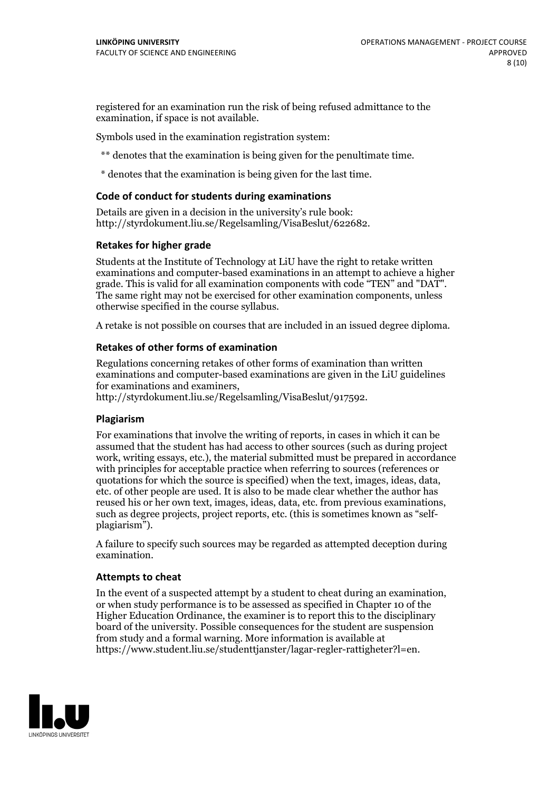registered for an examination run the risk of being refused admittance to the examination, if space is not available.

Symbols used in the examination registration system:

\*\* denotes that the examination is being given for the penultimate time.

\* denotes that the examination is being given for the last time.

#### **Code of conduct for students during examinations**

Details are given in a decision in the university's rule book: http://styrdokument.liu.se/Regelsamling/VisaBeslut/622682.

#### **Retakes for higher grade**

Students at the Institute of Technology at LiU have the right to retake written examinations and computer-based examinations in an attempt to achieve a higher grade. This is valid for all examination components with code "TEN" and "DAT". The same right may not be exercised for other examination components, unless otherwise specified in the course syllabus.

A retake is not possible on courses that are included in an issued degree diploma.

#### **Retakes of other forms of examination**

Regulations concerning retakes of other forms of examination than written examinations and computer-based examinations are given in the LiU guidelines

http://styrdokument.liu.se/Regelsamling/VisaBeslut/917592.

#### **Plagiarism**

For examinations that involve the writing of reports, in cases in which it can be assumed that the student has had access to other sources (such as during project work, writing essays, etc.), the material submitted must be prepared in accordance with principles for acceptable practice when referring to sources (references or quotations for which the source is specified) when the text, images, ideas, data,  $\vec{e}$  etc. of other people are used. It is also to be made clear whether the author has reused his or her own text, images, ideas, data, etc. from previous examinations, such as degree projects, project reports, etc. (this is sometimes known as "self- plagiarism").

A failure to specify such sources may be regarded as attempted deception during examination.

#### **Attempts to cheat**

In the event of <sup>a</sup> suspected attempt by <sup>a</sup> student to cheat during an examination, or when study performance is to be assessed as specified in Chapter <sup>10</sup> of the Higher Education Ordinance, the examiner is to report this to the disciplinary board of the university. Possible consequences for the student are suspension from study and a formal warning. More information is available at https://www.student.liu.se/studenttjanster/lagar-regler-rattigheter?l=en.

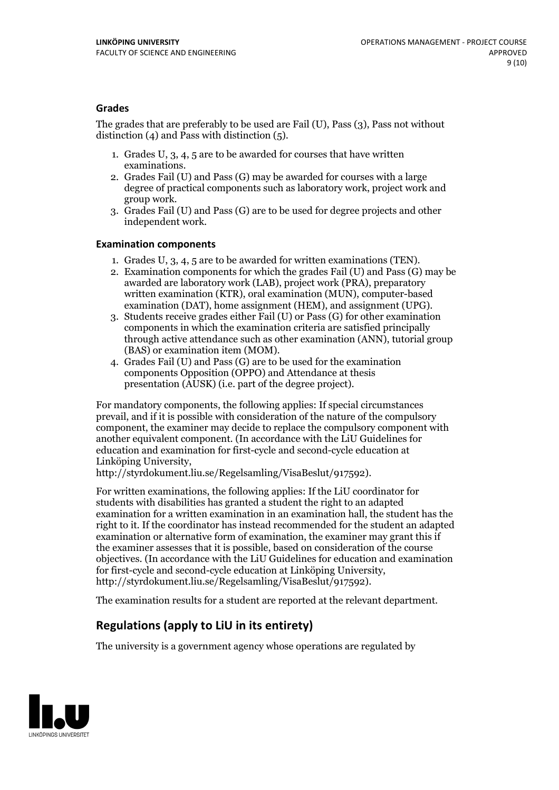#### **Grades**

The grades that are preferably to be used are Fail (U), Pass (3), Pass not without distinction  $(4)$  and Pass with distinction  $(5)$ .

- 1. Grades U, 3, 4, 5 are to be awarded for courses that have written
- examinations. 2. Grades Fail (U) and Pass (G) may be awarded for courses with <sup>a</sup> large degree of practical components such as laboratory work, project work and group work. 3. Grades Fail (U) and Pass (G) are to be used for degree projects and other
- independent work.

#### **Examination components**

- 
- 1. Grades U, 3, 4, <sup>5</sup> are to be awarded for written examinations (TEN). 2. Examination components for which the grades Fail (U) and Pass (G) may be awarded are laboratory work (LAB), project work (PRA), preparatory written examination (KTR), oral examination (MUN), computer-based
- examination (DAT), home assignment (HEM), and assignment (UPG). 3. Students receive grades either Fail (U) or Pass (G) for other examination components in which the examination criteria are satisfied principally through active attendance such as other examination (ANN), tutorial group (BAS) or examination item (MOM). 4. Grades Fail (U) and Pass (G) are to be used for the examination
- components Opposition (OPPO) and Attendance at thesis presentation (AUSK) (i.e. part of the degree project).

For mandatory components, the following applies: If special circumstances prevail, and if it is possible with consideration of the nature of the compulsory component, the examiner may decide to replace the compulsory component with another equivalent component. (In accordance with the LiU Guidelines for education and examination for first-cycle and second-cycle education at Linköping University, http://styrdokument.liu.se/Regelsamling/VisaBeslut/917592).

For written examinations, the following applies: If the LiU coordinator for students with disabilities has granted a student the right to an adapted examination for a written examination in an examination hall, the student has the right to it. If the coordinator has instead recommended for the student an adapted examination or alternative form of examination, the examiner may grant this if the examiner assesses that it is possible, based on consideration of the course objectives. (In accordance with the LiU Guidelines for education and examination for first-cycle and second-cycle education at Linköping University, http://styrdokument.liu.se/Regelsamling/VisaBeslut/917592).

The examination results for a student are reported at the relevant department.

#### **Regulations (applyto LiU in its entirety)**

The university is a government agency whose operations are regulated by